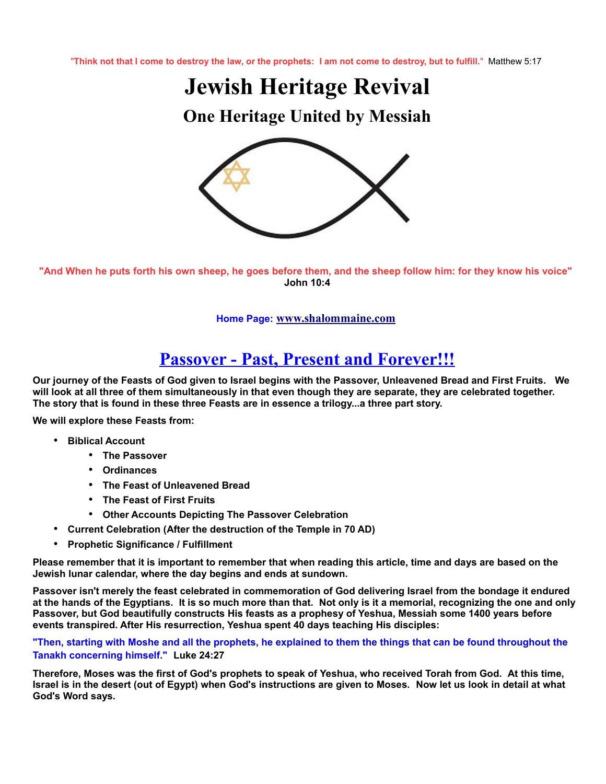"**Think not that I come to destroy the law, or the prophets: I am not come to destroy, but to fulfill.**" Matthew 5:17

# **Jewish Heritage Revival**

**One Heritage United by Messiah**



**"And When he puts forth his own sheep, he goes before them, and the sheep follow him: for they know his voice" John 10:4**

### **Home Page: [www.shalommaine.com](http://www.shalommaine.com/)**

# **Passover - Past, Present and Forever!!!**

**Our journey of the Feasts of God given to Israel begins with the Passover, Unleavened Bread and First Fruits. We will look at all three of them simultaneously in that even though they are separate, they are celebrated together. The story that is found in these three Feasts are in essence a trilogy...a three part story.**

**We will explore these Feasts from:**

- **Biblical Account**
	- **The Passover**
	- **Ordinances**
	- **The Feast of Unleavened Bread**
	- **The Feast of First Fruits**
	- **Other Accounts Depicting The Passover Celebration**
- **Current Celebration (After the destruction of the Temple in 70 AD)**
- **Prophetic Significance / Fulfillment**

**Please remember that it is important to remember that when reading this article, time and days are based on the Jewish lunar calendar, where the day begins and ends at sundown.**

**Passover isn't merely the feast celebrated in commemoration of God delivering Israel from the bondage it endured at the hands of the Egyptians. It is so much more than that. Not only is it a memorial, recognizing the one and only Passover, but God beautifully constructs His feasts as a prophesy of Yeshua, Messiah some 1400 years before events transpired. After His resurrection, Yeshua spent 40 days teaching His disciples:**

**"Then, starting with Moshe and all the prophets, he explained to them the things that can be found throughout the Tanakh concerning himself." Luke 24:27**

**Therefore, Moses was the first of God's prophets to speak of Yeshua, who received Torah from God. At this time, Israel is in the desert (out of Egypt) when God's instructions are given to Moses. Now let us look in detail at what God's Word says.**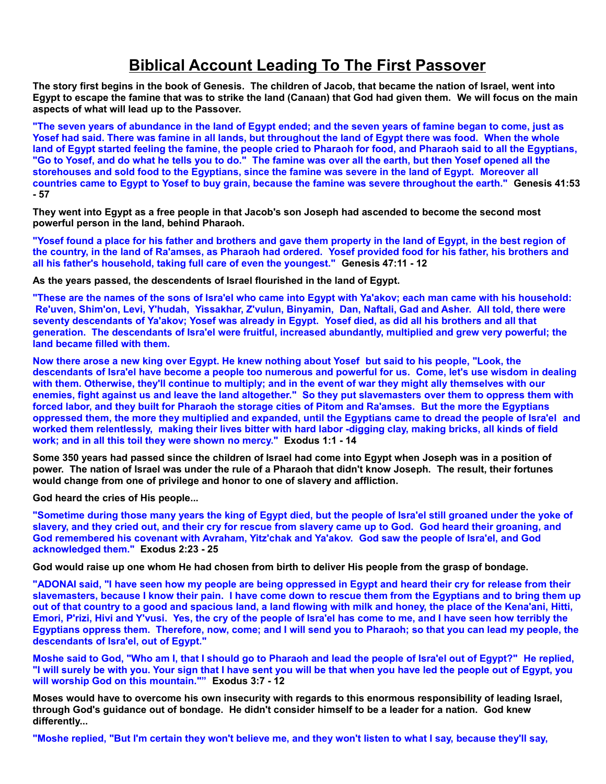# **Biblical Account Leading To The First Passover**

**The story first begins in the book of Genesis. The children of Jacob, that became the nation of Israel, went into Egypt to escape the famine that was to strike the land (Canaan) that God had given them. We will focus on the main aspects of what will lead up to the Passover.**

**"The seven years of abundance in the land of Egypt ended; and the seven years of famine began to come, just as Yosef had said. There was famine in all lands, but throughout the land of Egypt there was food. When the whole land of Egypt started feeling the famine, the people cried to Pharaoh for food, and Pharaoh said to all the Egyptians, "Go to Yosef, and do what he tells you to do." The famine was over all the earth, but then Yosef opened all the storehouses and sold food to the Egyptians, since the famine was severe in the land of Egypt. Moreover all countries came to Egypt to Yosef to buy grain, because the famine was severe throughout the earth." Genesis 41:53 - 57**

**They went into Egypt as a free people in that Jacob's son Joseph had ascended to become the second most powerful person in the land, behind Pharaoh.**

**"Yosef found a place for his father and brothers and gave them property in the land of Egypt, in the best region of the country, in the land of Ra'amses, as Pharaoh had ordered. Yosef provided food for his father, his brothers and all his father's household, taking full care of even the youngest." Genesis 47:11 - 12**

**As the years passed, the descendents of Israel flourished in the land of Egypt.**

**"These are the names of the sons of Isra'el who came into Egypt with Ya'akov; each man came with his household: Re'uven, Shim'on, Levi, Y'hudah, Yissakhar, Z'vulun, Binyamin, Dan, Naftali, Gad and Asher. All told, there were seventy descendants of Ya'akov; Yosef was already in Egypt. Yosef died, as did all his brothers and all that generation. The descendants of Isra'el were fruitful, increased abundantly, multiplied and grew very powerful; the land became filled with them.**

**Now there arose a new king over Egypt. He knew nothing about Yosef but said to his people, "Look, the descendants of Isra'el have become a people too numerous and powerful for us. Come, let's use wisdom in dealing with them. Otherwise, they'll continue to multiply; and in the event of war they might ally themselves with our enemies, fight against us and leave the land altogether." So they put slavemasters over them to oppress them with forced labor, and they built for Pharaoh the storage cities of Pitom and Ra'amses. But the more the Egyptians oppressed them, the more they multiplied and expanded, until the Egyptians came to dread the people of Isra'el and worked them relentlessly, making their lives bitter with hard labor -digging clay, making bricks, all kinds of field work; and in all this toil they were shown no mercy." Exodus 1:1 - 14**

**Some 350 years had passed since the children of Israel had come into Egypt when Joseph was in a position of power. The nation of Israel was under the rule of a Pharaoh that didn't know Joseph. The result, their fortunes would change from one of privilege and honor to one of slavery and affliction.**

**God heard the cries of His people...**

**"Sometime during those many years the king of Egypt died, but the people of Isra'el still groaned under the yoke of slavery, and they cried out, and their cry for rescue from slavery came up to God. God heard their groaning, and God remembered his covenant with Avraham, Yitz'chak and Ya'akov. God saw the people of Isra'el, and God acknowledged them." Exodus 2:23 - 25**

**God would raise up one whom He had chosen from birth to deliver His people from the grasp of bondage.**

**"ADONAI said, "I have seen how my people are being oppressed in Egypt and heard their cry for release from their slavemasters, because I know their pain. I have come down to rescue them from the Egyptians and to bring them up out of that country to a good and spacious land, a land flowing with milk and honey, the place of the Kena'ani, Hitti, Emori, P'rizi, Hivi and Y'vusi. Yes, the cry of the people of Isra'el has come to me, and I have seen how terribly the Egyptians oppress them. Therefore, now, come; and I will send you to Pharaoh; so that you can lead my people, the descendants of Isra'el, out of Egypt."**

**Moshe said to God, "Who am I, that I should go to Pharaoh and lead the people of Isra'el out of Egypt?" He replied, "I will surely be with you. Your sign that I have sent you will be that when you have led the people out of Egypt, you will worship God on this mountain."" Exodus 3:7 - 12**

**Moses would have to overcome his own insecurity with regards to this enormous responsibility of leading Israel, through God's guidance out of bondage. He didn't consider himself to be a leader for a nation. God knew differently...**

**"Moshe replied, "But I'm certain they won't believe me, and they won't listen to what I say, because they'll say,**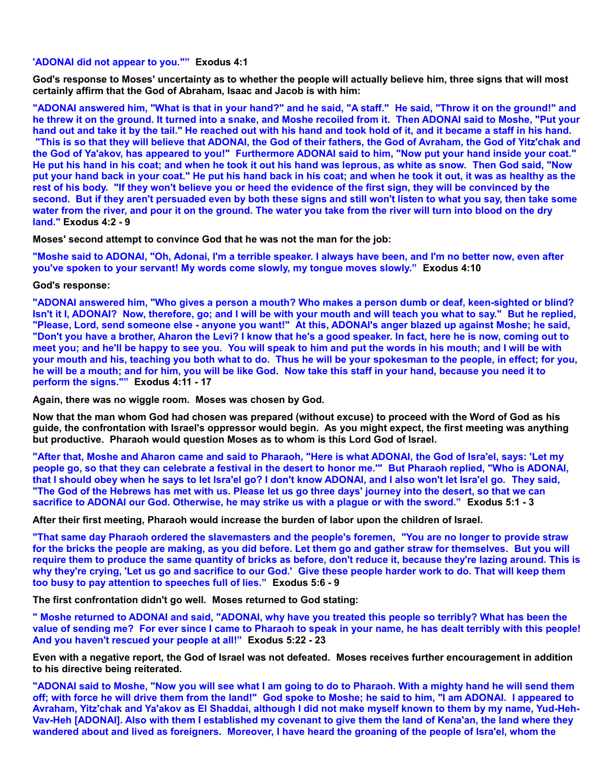#### **'ADONAI did not appear to you."" Exodus 4:1**

**God's response to Moses' uncertainty as to whether the people will actually believe him, three signs that will most certainly affirm that the God of Abraham, Isaac and Jacob is with him:**

**"ADONAI answered him, "What is that in your hand?" and he said, "A staff." He said, "Throw it on the ground!" and he threw it on the ground. It turned into a snake, and Moshe recoiled from it. Then ADONAI said to Moshe, "Put your hand out and take it by the tail." He reached out with his hand and took hold of it, and it became a staff in his hand. "This is so that they will believe that ADONAI, the God of their fathers, the God of Avraham, the God of Yitz'chak and the God of Ya'akov, has appeared to you!" Furthermore ADONAI said to him, "Now put your hand inside your coat." He put his hand in his coat; and when he took it out his hand was leprous, as white as snow. Then God said, "Now put your hand back in your coat." He put his hand back in his coat; and when he took it out, it was as healthy as the rest of his body. "If they won't believe you or heed the evidence of the first sign, they will be convinced by the second. But if they aren't persuaded even by both these signs and still won't listen to what you say, then take some water from the river, and pour it on the ground. The water you take from the river will turn into blood on the dry land." Exodus 4:2 - 9**

**Moses' second attempt to convince God that he was not the man for the job:**

**"Moshe said to ADONAI, "Oh, Adonai, I'm a terrible speaker. I always have been, and I'm no better now, even after you've spoken to your servant! My words come slowly, my tongue moves slowly." Exodus 4:10**

#### **God's response:**

**"ADONAI answered him, "Who gives a person a mouth? Who makes a person dumb or deaf, keen-sighted or blind? Isn't it I, ADONAI? Now, therefore, go; and I will be with your mouth and will teach you what to say." But he replied, "Please, Lord, send someone else - anyone you want!" At this, ADONAI's anger blazed up against Moshe; he said, "Don't you have a brother, Aharon the Levi? I know that he's a good speaker. In fact, here he is now, coming out to meet you; and he'll be happy to see you. You will speak to him and put the words in his mouth; and I will be with your mouth and his, teaching you both what to do. Thus he will be your spokesman to the people, in effect; for you, he will be a mouth; and for him, you will be like God. Now take this staff in your hand, because you need it to perform the signs."" Exodus 4:11 - 17**

**Again, there was no wiggle room. Moses was chosen by God.**

**Now that the man whom God had chosen was prepared (without excuse) to proceed with the Word of God as his guide, the confrontation with Israel's oppressor would begin. As you might expect, the first meeting was anything but productive. Pharaoh would question Moses as to whom is this Lord God of Israel.**

**"After that, Moshe and Aharon came and said to Pharaoh, "Here is what ADONAI, the God of Isra'el, says: 'Let my people go, so that they can celebrate a festival in the desert to honor me.'" But Pharaoh replied, "Who is ADONAI, that I should obey when he says to let Isra'el go? I don't know ADONAI, and I also won't let Isra'el go. They said, "The God of the Hebrews has met with us. Please let us go three days' journey into the desert, so that we can sacrifice to ADONAI our God. Otherwise, he may strike us with a plague or with the sword." Exodus 5:1 - 3**

**After their first meeting, Pharaoh would increase the burden of labor upon the children of Israel.**

**"That same day Pharaoh ordered the slavemasters and the people's foremen, "You are no longer to provide straw for the bricks the people are making, as you did before. Let them go and gather straw for themselves. But you will require them to produce the same quantity of bricks as before, don't reduce it, because they're lazing around. This is why they're crying, 'Let us go and sacrifice to our God.' Give these people harder work to do. That will keep them too busy to pay attention to speeches full of lies." Exodus 5:6 - 9**

**The first confrontation didn't go well. Moses returned to God stating:**

**" Moshe returned to ADONAI and said, "ADONAI, why have you treated this people so terribly? What has been the value of sending me? For ever since I came to Pharaoh to speak in your name, he has dealt terribly with this people! And you haven't rescued your people at all!" Exodus 5:22 - 23**

**Even with a negative report, the God of Israel was not defeated. Moses receives further encouragement in addition to his directive being reiterated.**

**"ADONAI said to Moshe, "Now you will see what I am going to do to Pharaoh. With a mighty hand he will send them off; with force he will drive them from the land!" God spoke to Moshe; he said to him, "I am ADONAI. I appeared to Avraham, Yitz'chak and Ya'akov as El Shaddai, although I did not make myself known to them by my name, Yud-Heh-Vav-Heh [ADONAI]. Also with them I established my covenant to give them the land of Kena'an, the land where they wandered about and lived as foreigners. Moreover, I have heard the groaning of the people of Isra'el, whom the**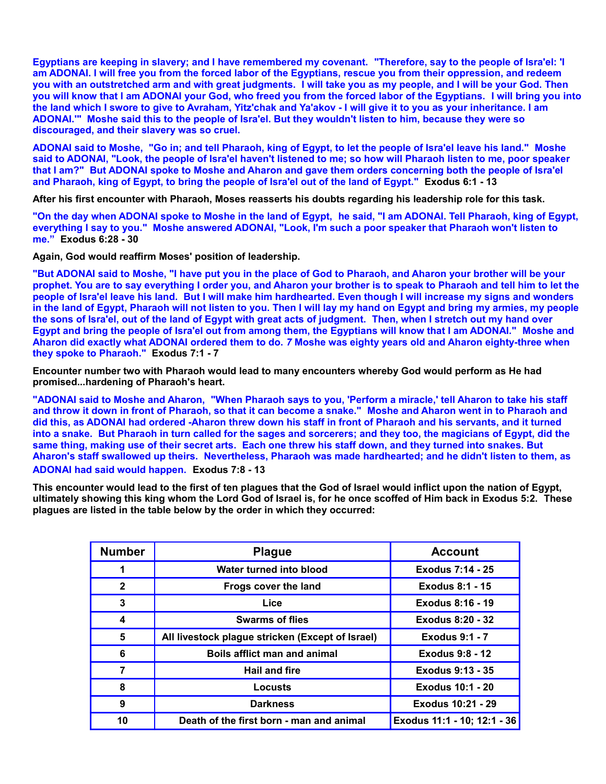**Egyptians are keeping in slavery; and I have remembered my covenant. "Therefore, say to the people of Isra'el: 'I am ADONAI. I will free you from the forced labor of the Egyptians, rescue you from their oppression, and redeem you with an outstretched arm and with great judgments. I will take you as my people, and I will be your God. Then you will know that I am ADONAI your God, who freed you from the forced labor of the Egyptians. I will bring you into the land which I swore to give to Avraham, Yitz'chak and Ya'akov - I will give it to you as your inheritance. I am ADONAI.'" Moshe said this to the people of Isra'el. But they wouldn't listen to him, because they were so discouraged, and their slavery was so cruel.**

**ADONAI said to Moshe, "Go in; and tell Pharaoh, king of Egypt, to let the people of Isra'el leave his land." Moshe said to ADONAI, "Look, the people of Isra'el haven't listened to me; so how will Pharaoh listen to me, poor speaker that I am?" But ADONAI spoke to Moshe and Aharon and gave them orders concerning both the people of Isra'el and Pharaoh, king of Egypt, to bring the people of Isra'el out of the land of Egypt." Exodus 6:1 - 13**

**After his first encounter with Pharaoh, Moses reasserts his doubts regarding his leadership role for this task.**

**"On the day when ADONAI spoke to Moshe in the land of Egypt, he said, "I am ADONAI. Tell Pharaoh, king of Egypt, everything I say to you." Moshe answered ADONAI, "Look, I'm such a poor speaker that Pharaoh won't listen to me." Exodus 6:28 - 30**

**Again, God would reaffirm Moses' position of leadership.**

**"But ADONAI said to Moshe, "I have put you in the place of God to Pharaoh, and Aharon your brother will be your prophet. You are to say everything I order you, and Aharon your brother is to speak to Pharaoh and tell him to let the people of Isra'el leave his land. But I will make him hardhearted. Even though I will increase my signs and wonders in the land of Egypt, Pharaoh will not listen to you. Then I will lay my hand on Egypt and bring my armies, my people the sons of Isra'el, out of the land of Egypt with great acts of judgment. Then, when I stretch out my hand over Egypt and bring the people of Isra'el out from among them, the Egyptians will know that I am ADONAI." Moshe and Aharon did exactly what ADONAI ordered them to do.** *7* **Moshe was eighty years old and Aharon eighty-three when they spoke to Pharaoh." Exodus 7:1 - 7**

**Encounter number two with Pharaoh would lead to many encounters whereby God would perform as He had promised...hardening of Pharaoh's heart.**

**"ADONAI said to Moshe and Aharon, "When Pharaoh says to you, 'Perform a miracle,' tell Aharon to take his staff and throw it down in front of Pharaoh, so that it can become a snake." Moshe and Aharon went in to Pharaoh and did this, as ADONAI had ordered -Aharon threw down his staff in front of Pharaoh and his servants, and it turned into a snake. But Pharaoh in turn called for the sages and sorcerers; and they too, the magicians of Egypt, did the same thing, making use of their secret arts. Each one threw his staff down, and they turned into snakes. But Aharon's staff swallowed up theirs. Nevertheless, Pharaoh was made hardhearted; and he didn't listen to them, as ADONAI had said would happen. Exodus 7:8 - 13**

**This encounter would lead to the first of ten plagues that the God of Israel would inflict upon the nation of Egypt, ultimately showing this king whom the Lord God of Israel is, for he once scoffed of Him back in Exodus 5:2. These plagues are listed in the table below by the order in which they occurred:**

| <b>Number</b> | <b>Plague</b>                                    | <b>Account</b>              |
|---------------|--------------------------------------------------|-----------------------------|
|               | Water turned into blood                          | <b>Exodus 7:14 - 25</b>     |
| $\mathbf{2}$  | Frogs cover the land                             | <b>Exodus 8:1 - 15</b>      |
| 3             | Lice                                             | <b>Exodus 8:16 - 19</b>     |
| 4             | <b>Swarms of flies</b>                           | <b>Exodus 8:20 - 32</b>     |
| 5             | All livestock plague stricken (Except of Israel) | <b>Exodus 9:1 - 7</b>       |
| 6             | <b>Boils afflict man and animal</b>              | <b>Exodus 9:8 - 12</b>      |
| 7             | <b>Hail and fire</b>                             | <b>Exodus 9:13 - 35</b>     |
| 8             | <b>Locusts</b>                                   | <b>Exodus 10:1 - 20</b>     |
| 9             | <b>Darkness</b>                                  | Exodus 10:21 - 29           |
| 10            | Death of the first born - man and animal         | Exodus 11:1 - 10; 12:1 - 36 |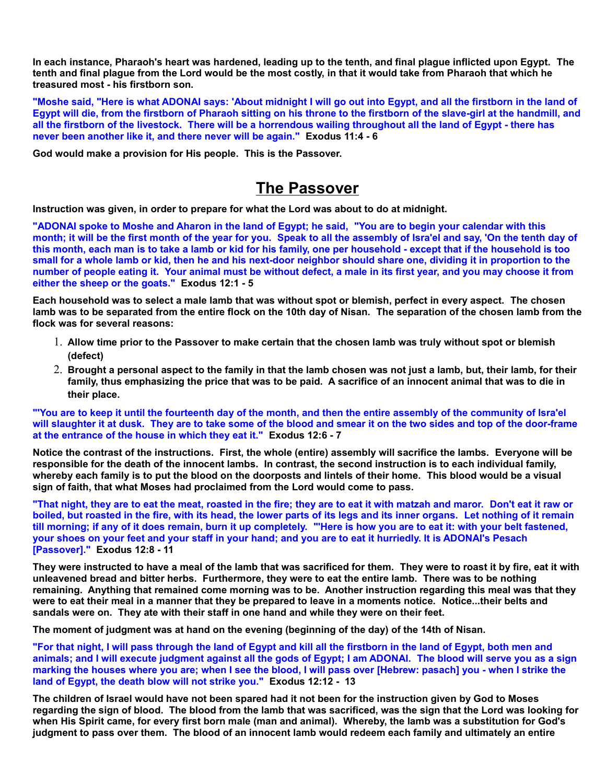**In each instance, Pharaoh's heart was hardened, leading up to the tenth, and final plague inflicted upon Egypt. The tenth and final plague from the Lord would be the most costly, in that it would take from Pharaoh that which he treasured most - his firstborn son.**

**"Moshe said, "Here is what ADONAI says: 'About midnight I will go out into Egypt, and all the firstborn in the land of Egypt will die, from the firstborn of Pharaoh sitting on his throne to the firstborn of the slave-girl at the handmill, and all the firstborn of the livestock. There will be a horrendous wailing throughout all the land of Egypt - there has never been another like it, and there never will be again." Exodus 11:4 - 6**

**God would make a provision for His people. This is the Passover.**

# **The Passover**

**Instruction was given, in order to prepare for what the Lord was about to do at midnight.**

**"ADONAI spoke to Moshe and Aharon in the land of Egypt; he said, "You are to begin your calendar with this month; it will be the first month of the year for you. Speak to all the assembly of Isra'el and say, 'On the tenth day of this month, each man is to take a lamb or kid for his family, one per household - except that if the household is too small for a whole lamb or kid, then he and his next-door neighbor should share one, dividing it in proportion to the number of people eating it. Your animal must be without defect, a male in its first year, and you may choose it from either the sheep or the goats." Exodus 12:1 - 5**

**Each household was to select a male lamb that was without spot or blemish, perfect in every aspect. The chosen lamb was to be separated from the entire flock on the 10th day of Nisan. The separation of the chosen lamb from the flock was for several reasons:**

- 1. **Allow time prior to the Passover to make certain that the chosen lamb was truly without spot or blemish (defect)**
- 2. **Brought a personal aspect to the family in that the lamb chosen was not just a lamb, but, their lamb, for their family, thus emphasizing the price that was to be paid. A sacrifice of an innocent animal that was to die in their place.**

**"'You are to keep it until the fourteenth day of the month, and then the entire assembly of the community of Isra'el will slaughter it at dusk. They are to take some of the blood and smear it on the two sides and top of the door-frame at the entrance of the house in which they eat it." Exodus 12:6 - 7**

**Notice the contrast of the instructions. First, the whole (entire) assembly will sacrifice the lambs. Everyone will be responsible for the death of the innocent lambs. In contrast, the second instruction is to each individual family, whereby each family is to put the blood on the doorposts and lintels of their home. This blood would be a visual sign of faith, that what Moses had proclaimed from the Lord would come to pass.**

**"That night, they are to eat the meat, roasted in the fire; they are to eat it with matzah and maror. Don't eat it raw or boiled, but roasted in the fire, with its head, the lower parts of its legs and its inner organs. Let nothing of it remain till morning; if any of it does remain, burn it up completely. "'Here is how you are to eat it: with your belt fastened, your shoes on your feet and your staff in your hand; and you are to eat it hurriedly. It is ADONAI's Pesach [Passover]." Exodus 12:8 - 11**

**They were instructed to have a meal of the lamb that was sacrificed for them. They were to roast it by fire, eat it with unleavened bread and bitter herbs. Furthermore, they were to eat the entire lamb. There was to be nothing remaining. Anything that remained come morning was to be. Another instruction regarding this meal was that they were to eat their meal in a manner that they be prepared to leave in a moments notice. Notice...their belts and sandals were on. They ate with their staff in one hand and while they were on their feet.**

**The moment of judgment was at hand on the evening (beginning of the day) of the 14th of Nisan.**

**"For that night, I will pass through the land of Egypt and kill all the firstborn in the land of Egypt, both men and animals; and I will execute judgment against all the gods of Egypt; I am ADONAI. The blood will serve you as a sign marking the houses where you are; when I see the blood, I will pass over [Hebrew: pasach] you - when I strike the land of Egypt, the death blow will not strike you." Exodus 12:12 - 13**

**The children of Israel would have not been spared had it not been for the instruction given by God to Moses regarding the sign of blood. The blood from the lamb that was sacrificed, was the sign that the Lord was looking for when His Spirit came, for every first born male (man and animal). Whereby, the lamb was a substitution for God's judgment to pass over them. The blood of an innocent lamb would redeem each family and ultimately an entire**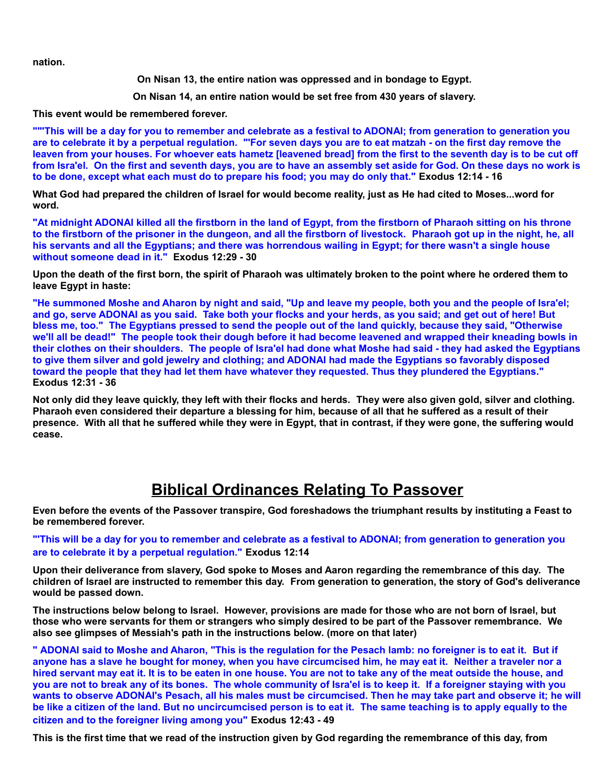**nation.**

**On Nisan 13, the entire nation was oppressed and in bondage to Egypt.**

**On Nisan 14, an entire nation would be set free from 430 years of slavery.**

**This event would be remembered forever.**

**""'This will be a day for you to remember and celebrate as a festival to ADONAI; from generation to generation you are to celebrate it by a perpetual regulation. "'For seven days you are to eat matzah - on the first day remove the leaven from your houses. For whoever eats hametz [leavened bread] from the first to the seventh day is to be cut off from Isra'el. On the first and seventh days, you are to have an assembly set aside for God. On these days no work is to be done, except what each must do to prepare his food; you may do only that." Exodus 12:14 - 16**

**What God had prepared the children of Israel for would become reality, just as He had cited to Moses...word for word.**

**"At midnight ADONAI killed all the firstborn in the land of Egypt, from the firstborn of Pharaoh sitting on his throne to the firstborn of the prisoner in the dungeon, and all the firstborn of livestock. Pharaoh got up in the night, he, all his servants and all the Egyptians; and there was horrendous wailing in Egypt; for there wasn't a single house without someone dead in it." Exodus 12:29 - 30**

**Upon the death of the first born, the spirit of Pharaoh was ultimately broken to the point where he ordered them to leave Egypt in haste:**

**"He summoned Moshe and Aharon by night and said, "Up and leave my people, both you and the people of Isra'el; and go, serve ADONAI as you said. Take both your flocks and your herds, as you said; and get out of here! But bless me, too." The Egyptians pressed to send the people out of the land quickly, because they said, "Otherwise we'll all be dead!" The people took their dough before it had become leavened and wrapped their kneading bowls in their clothes on their shoulders. The people of Isra'el had done what Moshe had said - they had asked the Egyptians to give them silver and gold jewelry and clothing; and ADONAI had made the Egyptians so favorably disposed toward the people that they had let them have whatever they requested. Thus they plundered the Egyptians." Exodus 12:31 - 36**

**Not only did they leave quickly, they left with their flocks and herds. They were also given gold, silver and clothing. Pharaoh even considered their departure a blessing for him, because of all that he suffered as a result of their presence. With all that he suffered while they were in Egypt, that in contrast, if they were gone, the suffering would cease.**

# **Biblical Ordinances Relating To Passover**

**Even before the events of the Passover transpire, God foreshadows the triumphant results by instituting a Feast to be remembered forever.**

**"'This will be a day for you to remember and celebrate as a festival to ADONAI; from generation to generation you are to celebrate it by a perpetual regulation." Exodus 12:14**

**Upon their deliverance from slavery, God spoke to Moses and Aaron regarding the remembrance of this day. The children of Israel are instructed to remember this day. From generation to generation, the story of God's deliverance would be passed down.**

**The instructions below belong to Israel. However, provisions are made for those who are not born of Israel, but those who were servants for them or strangers who simply desired to be part of the Passover remembrance. We also see glimpses of Messiah's path in the instructions below. (more on that later)**

**" ADONAI said to Moshe and Aharon, "This is the regulation for the Pesach lamb: no foreigner is to eat it. But if anyone has a slave he bought for money, when you have circumcised him, he may eat it. Neither a traveler nor a hired servant may eat it. It is to be eaten in one house. You are not to take any of the meat outside the house, and you are not to break any of its bones. The whole community of Isra'el is to keep it. If a foreigner staying with you wants to observe ADONAI's Pesach, all his males must be circumcised. Then he may take part and observe it; he will be like a citizen of the land. But no uncircumcised person is to eat it. The same teaching is to apply equally to the citizen and to the foreigner living among you" Exodus 12:43 - 49**

**This is the first time that we read of the instruction given by God regarding the remembrance of this day, from**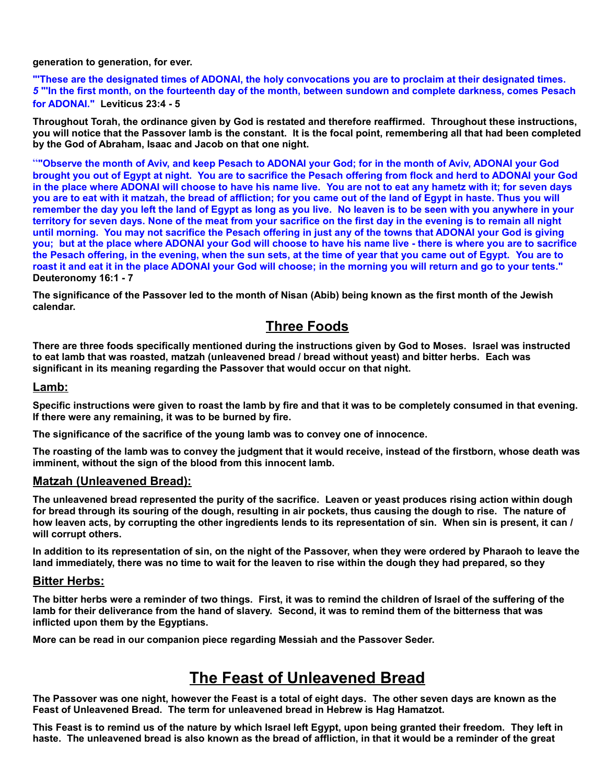**generation to generation, for ever.**

**"'These are the designated times of ADONAI, the holy convocations you are to proclaim at their designated times.**  *5* **"'In the first month, on the fourteenth day of the month, between sundown and complete darkness, comes Pesach for ADONAI." Leviticus 23:4 - 5**

**Throughout Torah, the ordinance given by God is restated and therefore reaffirmed. Throughout these instructions, you will notice that the Passover lamb is the constant. It is the focal point, remembering all that had been completed by the God of Abraham, Isaac and Jacob on that one night.**

"**"Observe the month of Aviv, and keep Pesach to ADONAI your God; for in the month of Aviv, ADONAI your God brought you out of Egypt at night. You are to sacrifice the Pesach offering from flock and herd to ADONAI your God in the place where ADONAI will choose to have his name live. You are not to eat any hametz with it; for seven days you are to eat with it matzah, the bread of affliction; for you came out of the land of Egypt in haste. Thus you will remember the day you left the land of Egypt as long as you live. No leaven is to be seen with you anywhere in your territory for seven days. None of the meat from your sacrifice on the first day in the evening is to remain all night until morning. You may not sacrifice the Pesach offering in just any of the towns that ADONAI your God is giving you; but at the place where ADONAI your God will choose to have his name live - there is where you are to sacrifice the Pesach offering, in the evening, when the sun sets, at the time of year that you came out of Egypt. You are to roast it and eat it in the place ADONAI your God will choose; in the morning you will return and go to your tents." Deuteronomy 16:1 - 7**

**The significance of the Passover led to the month of Nisan (Abib) being known as the first month of the Jewish calendar.**

## **Three Foods**

**There are three foods specifically mentioned during the instructions given by God to Moses. Israel was instructed to eat lamb that was roasted, matzah (unleavened bread / bread without yeast) and bitter herbs. Each was significant in its meaning regarding the Passover that would occur on that night.**

### **Lamb:**

**Specific instructions were given to roast the lamb by fire and that it was to be completely consumed in that evening. If there were any remaining, it was to be burned by fire.**

**The significance of the sacrifice of the young lamb was to convey one of innocence.**

**The roasting of the lamb was to convey the judgment that it would receive, instead of the firstborn, whose death was imminent, without the sign of the blood from this innocent lamb.**

### **Matzah (Unleavened Bread):**

**The unleavened bread represented the purity of the sacrifice. Leaven or yeast produces rising action within dough for bread through its souring of the dough, resulting in air pockets, thus causing the dough to rise. The nature of how leaven acts, by corrupting the other ingredients lends to its representation of sin. When sin is present, it can / will corrupt others.**

**In addition to its representation of sin, on the night of the Passover, when they were ordered by Pharaoh to leave the land immediately, there was no time to wait for the leaven to rise within the dough they had prepared, so they**

### **Bitter Herbs:**

**The bitter herbs were a reminder of two things. First, it was to remind the children of Israel of the suffering of the lamb for their deliverance from the hand of slavery. Second, it was to remind them of the bitterness that was inflicted upon them by the Egyptians.**

**More can be read in our companion piece regarding Messiah and the Passover Seder.**

# **The Feast of Unleavened Bread**

**The Passover was one night, however the Feast is a total of eight days. The other seven days are known as the Feast of Unleavened Bread. The term for unleavened bread in Hebrew is Hag Hamatzot.**

**This Feast is to remind us of the nature by which Israel left Egypt, upon being granted their freedom. They left in haste. The unleavened bread is also known as the bread of affliction, in that it would be a reminder of the great**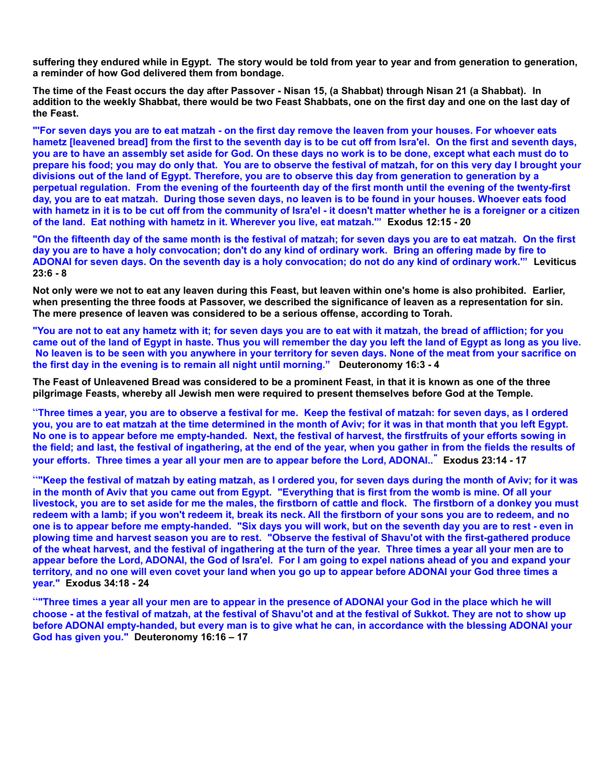**suffering they endured while in Egypt. The story would be told from year to year and from generation to generation, a reminder of how God delivered them from bondage.**

**The time of the Feast occurs the day after Passover - Nisan 15, (a Shabbat) through Nisan 21 (a Shabbat). In addition to the weekly Shabbat, there would be two Feast Shabbats, one on the first day and one on the last day of the Feast.**

**"'For seven days you are to eat matzah - on the first day remove the leaven from your houses. For whoever eats hametz [leavened bread] from the first to the seventh day is to be cut off from Isra'el. On the first and seventh days, you are to have an assembly set aside for God. On these days no work is to be done, except what each must do to prepare his food; you may do only that. You are to observe the festival of matzah, for on this very day I brought your divisions out of the land of Egypt. Therefore, you are to observe this day from generation to generation by a perpetual regulation. From the evening of the fourteenth day of the first month until the evening of the twenty-first day, you are to eat matzah. During those seven days, no leaven is to be found in your houses. Whoever eats food with hametz in it is to be cut off from the community of Isra'el - it doesn't matter whether he is a foreigner or a citizen of the land. Eat nothing with hametz in it. Wherever you live, eat matzah.'" Exodus 12:15 - 20**

**"On the fifteenth day of the same month is the festival of matzah; for seven days you are to eat matzah. On the first day you are to have a holy convocation; don't do any kind of ordinary work. Bring an offering made by fire to ADONAI for seven days. On the seventh day is a holy convocation; do not do any kind of ordinary work.'" Leviticus 23:6 - 8**

**Not only were we not to eat any leaven during this Feast, but leaven within one's home is also prohibited. Earlier, when presenting the three foods at Passover, we described the significance of leaven as a representation for sin. The mere presence of leaven was considered to be a serious offense, according to Torah.**

**"You are not to eat any hametz with it; for seven days you are to eat with it matzah, the bread of affliction; for you came out of the land of Egypt in haste. Thus you will remember the day you left the land of Egypt as long as you live. No leaven is to be seen with you anywhere in your territory for seven days. None of the meat from your sacrifice on the first day in the evening is to remain all night until morning." Deuteronomy 16:3 - 4**

**The Feast of Unleavened Bread was considered to be a prominent Feast, in that it is known as one of the three pilgrimage Feasts, whereby all Jewish men were required to present themselves before God at the Temple.**

"**Three times a year, you are to observe a festival for me. Keep the festival of matzah: for seven days, as I ordered you, you are to eat matzah at the time determined in the month of Aviv; for it was in that month that you left Egypt. No one is to appear before me empty-handed. Next, the festival of harvest, the firstfruits of your efforts sowing in the field; and last, the festival of ingathering, at the end of the year, when you gather in from the fields the results of your efforts. Three times a year all your men are to appear before the Lord, ADONAI.." Exodus 23:14 - 17**

"**"Keep the festival of matzah by eating matzah, as I ordered you, for seven days during the month of Aviv; for it was in the month of Aviv that you came out from Egypt. "Everything that is first from the womb is mine. Of all your livestock, you are to set aside for me the males, the firstborn of cattle and flock. The firstborn of a donkey you must redeem with a lamb; if you won't redeem it, break its neck. All the firstborn of your sons you are to redeem, and no one is to appear before me empty-handed. "Six days you will work, but on the seventh day you are to rest - even in plowing time and harvest season you are to rest. "Observe the festival of Shavu'ot with the first-gathered produce of the wheat harvest, and the festival of ingathering at the turn of the year. Three times a year all your men are to appear before the Lord, ADONAI, the God of Isra'el. For I am going to expel nations ahead of you and expand your territory, and no one will even covet your land when you go up to appear before ADONAI your God three times a year." Exodus 34:18 - 24**

"**"Three times a year all your men are to appear in the presence of ADONAI your God in the place which he will choose - at the festival of matzah, at the festival of Shavu'ot and at the festival of Sukkot. They are not to show up before ADONAI empty-handed, but every man is to give what he can, in accordance with the blessing ADONAI your God has given you." Deuteronomy 16:16 – 17**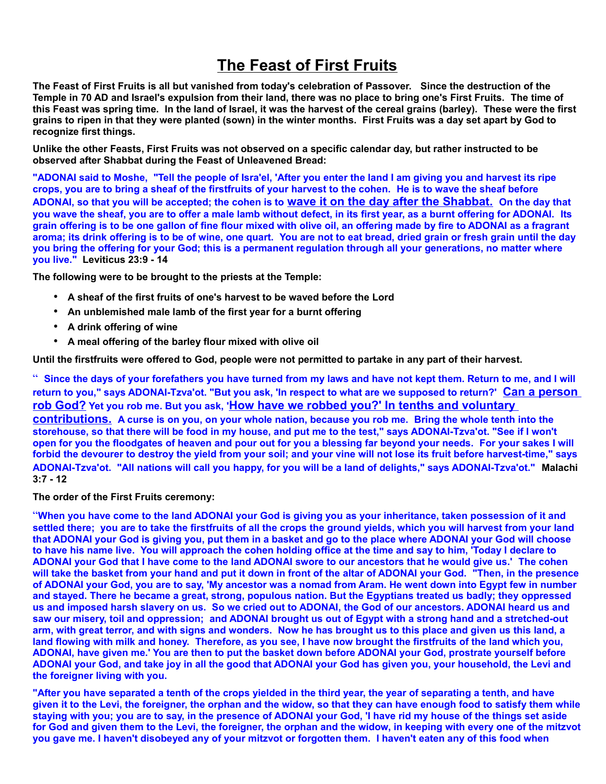# **The Feast of First Fruits**

**The Feast of First Fruits is all but vanished from today's celebration of Passover. Since the destruction of the Temple in 70 AD and Israel's expulsion from their land, there was no place to bring one's First Fruits. The time of this Feast was spring time. In the land of Israel, it was the harvest of the cereal grains (barley). These were the first grains to ripen in that they were planted (sown) in the winter months. First Fruits was a day set apart by God to recognize first things.**

**Unlike the other Feasts, First Fruits was not observed on a specific calendar day, but rather instructed to be observed after Shabbat during the Feast of Unleavened Bread:**

**"ADONAI said to Moshe, "Tell the people of Isra'el, 'After you enter the land I am giving you and harvest its ripe crops, you are to bring a sheaf of the firstfruits of your harvest to the cohen. He is to wave the sheaf before ADONAI, so that you will be accepted; the cohen is to wave it on the day after the Shabbat. On the day that you wave the sheaf, you are to offer a male lamb without defect, in its first year, as a burnt offering for ADONAI. Its grain offering is to be one gallon of fine flour mixed with olive oil, an offering made by fire to ADONAI as a fragrant aroma; its drink offering is to be of wine, one quart. You are not to eat bread, dried grain or fresh grain until the day you bring the offering for your God; this is a permanent regulation through all your generations, no matter where you live." Leviticus 23:9 - 14**

**The following were to be brought to the priests at the Temple:**

- **A sheaf of the first fruits of one's harvest to be waved before the Lord**
- **An unblemished male lamb of the first year for a burnt offering**
- **A drink offering of wine**
- **A meal offering of the barley flour mixed with olive oil**

**Until the firstfruits were offered to God, people were not permitted to partake in any part of their harvest.**

" **Since the days of your forefathers you have turned from my laws and have not kept them. Return to me, and I will return to you," says ADONAI-Tzva'ot. "But you ask, 'In respect to what are we supposed to return?' Can a person rob God? Yet you rob me. But you ask, 'How have we robbed you?' In tenths and voluntary contributions. A curse is on you, on your whole nation, because you rob me. Bring the whole tenth into the storehouse, so that there will be food in my house, and put me to the test," says ADONAI-Tzva'ot. "See if I won't open for you the floodgates of heaven and pour out for you a blessing far beyond your needs. For your sakes I will forbid the devourer to destroy the yield from your soil; and your vine will not lose its fruit before harvest-time," says ADONAI-Tzva'ot. "All nations will call you happy, for you will be a land of delights," says ADONAI-Tzva'ot." Malachi 3:7 - 12**

#### **The order of the First Fruits ceremony:**

"**When you have come to the land ADONAI your God is giving you as your inheritance, taken possession of it and settled there; you are to take the firstfruits of all the crops the ground yields, which you will harvest from your land that ADONAI your God is giving you, put them in a basket and go to the place where ADONAI your God will choose to have his name live. You will approach the cohen holding office at the time and say to him, 'Today I declare to ADONAI your God that I have come to the land ADONAI swore to our ancestors that he would give us.' The cohen will take the basket from your hand and put it down in front of the altar of ADONAI your God. "Then, in the presence of ADONAI your God, you are to say, 'My ancestor was a nomad from Aram. He went down into Egypt few in number and stayed. There he became a great, strong, populous nation. But the Egyptians treated us badly; they oppressed us and imposed harsh slavery on us. So we cried out to ADONAI, the God of our ancestors. ADONAI heard us and saw our misery, toil and oppression; and ADONAI brought us out of Egypt with a strong hand and a stretched-out arm, with great terror, and with signs and wonders. Now he has brought us to this place and given us this land, a land flowing with milk and honey. Therefore, as you see, I have now brought the firstfruits of the land which you, ADONAI, have given me.' You are then to put the basket down before ADONAI your God, prostrate yourself before ADONAI your God, and take joy in all the good that ADONAI your God has given you, your household, the Levi and the foreigner living with you.**

**"After you have separated a tenth of the crops yielded in the third year, the year of separating a tenth, and have given it to the Levi, the foreigner, the orphan and the widow, so that they can have enough food to satisfy them while staying with you; you are to say, in the presence of ADONAI your God, 'I have rid my house of the things set aside for God and given them to the Levi, the foreigner, the orphan and the widow, in keeping with every one of the mitzvot you gave me. I haven't disobeyed any of your mitzvot or forgotten them. I haven't eaten any of this food when**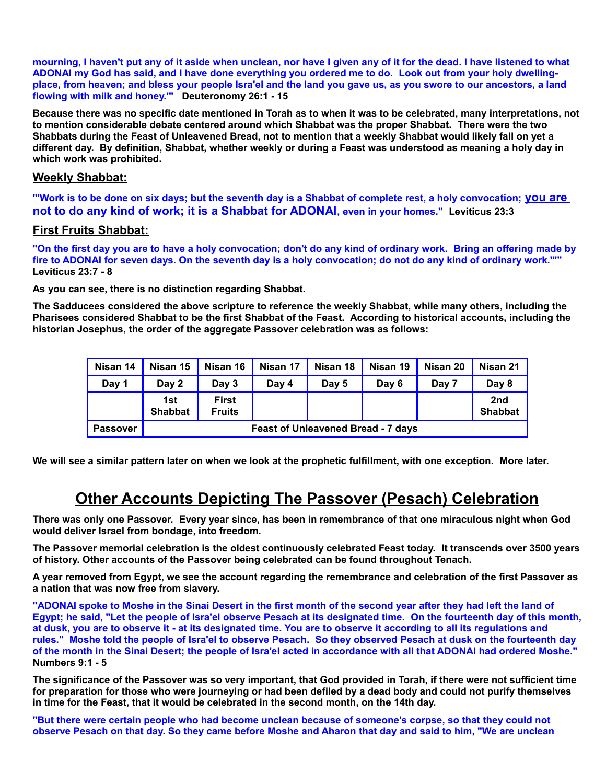**mourning, I haven't put any of it aside when unclean, nor have I given any of it for the dead. I have listened to what ADONAI my God has said, and I have done everything you ordered me to do. Look out from your holy dwellingplace, from heaven; and bless your people Isra'el and the land you gave us, as you swore to our ancestors, a land flowing with milk and honey.'" Deuteronomy 26:1 - 15**

**Because there was no specific date mentioned in Torah as to when it was to be celebrated, many interpretations, not to mention considerable debate centered around which Shabbat was the proper Shabbat. There were the two Shabbats during the Feast of Unleavened Bread, not to mention that a weekly Shabbat would likely fall on yet a different day. By definition, Shabbat, whether weekly or during a Feast was understood as meaning a holy day in which work was prohibited.**

### **Weekly Shabbat:**

**"'Work is to be done on six days; but the seventh day is a Shabbat of complete rest, a holy convocation; you are not to do any kind of work; it is a Shabbat for ADONAI, even in your homes." Leviticus 23:3**

### **First Fruits Shabbat:**

**"On the first day you are to have a holy convocation; don't do any kind of ordinary work. Bring an offering made by fire to ADONAI for seven days. On the seventh day is a holy convocation; do not do any kind of ordinary work.'"" Leviticus 23:7 - 8**

**As you can see, there is no distinction regarding Shabbat.**

**The Sadducees considered the above scripture to reference the weekly Shabbat, while many others, including the Pharisees considered Shabbat to be the first Shabbat of the Feast. According to historical accounts, including the historian Josephus, the order of the aggregate Passover celebration was as follows:**

| Nisan 14        | Nisan 15                                  | Nisan 16               | Nisan 17 | Nisan 18 | Nisan 19 | Nisan 20 | Nisan 21              |
|-----------------|-------------------------------------------|------------------------|----------|----------|----------|----------|-----------------------|
| Day 1           | Dav 2                                     | Day 3                  | Day 4    | Dav 5    | Day 6    | Day 7    | Day 8                 |
|                 | 1st<br><b>Shabbat</b>                     | First<br><b>Fruits</b> |          |          |          |          | 2nd<br><b>Shabbat</b> |
| <b>Passover</b> | <b>Feast of Unleavened Bread - 7 days</b> |                        |          |          |          |          |                       |

**We will see a similar pattern later on when we look at the prophetic fulfillment, with one exception. More later.**

# **Other Accounts Depicting The Passover (Pesach) Celebration**

**There was only one Passover. Every year since, has been in remembrance of that one miraculous night when God would deliver Israel from bondage, into freedom.**

**The Passover memorial celebration is the oldest continuously celebrated Feast today. It transcends over 3500 years of history. Other accounts of the Passover being celebrated can be found throughout Tenach.**

**A year removed from Egypt, we see the account regarding the remembrance and celebration of the first Passover as a nation that was now free from slavery.**

**"ADONAI spoke to Moshe in the Sinai Desert in the first month of the second year after they had left the land of Egypt; he said, "Let the people of Isra'el observe Pesach at its designated time. On the fourteenth day of this month, at dusk, you are to observe it - at its designated time. You are to observe it according to all its regulations and rules." Moshe told the people of Isra'el to observe Pesach. So they observed Pesach at dusk on the fourteenth day of the month in the Sinai Desert; the people of Isra'el acted in accordance with all that ADONAI had ordered Moshe." Numbers 9:1 - 5**

**The significance of the Passover was so very important, that God provided in Torah, if there were not sufficient time for preparation for those who were journeying or had been defiled by a dead body and could not purify themselves in time for the Feast, that it would be celebrated in the second month, on the 14th day.**

**"But there were certain people who had become unclean because of someone's corpse, so that they could not observe Pesach on that day. So they came before Moshe and Aharon that day and said to him, "We are unclean**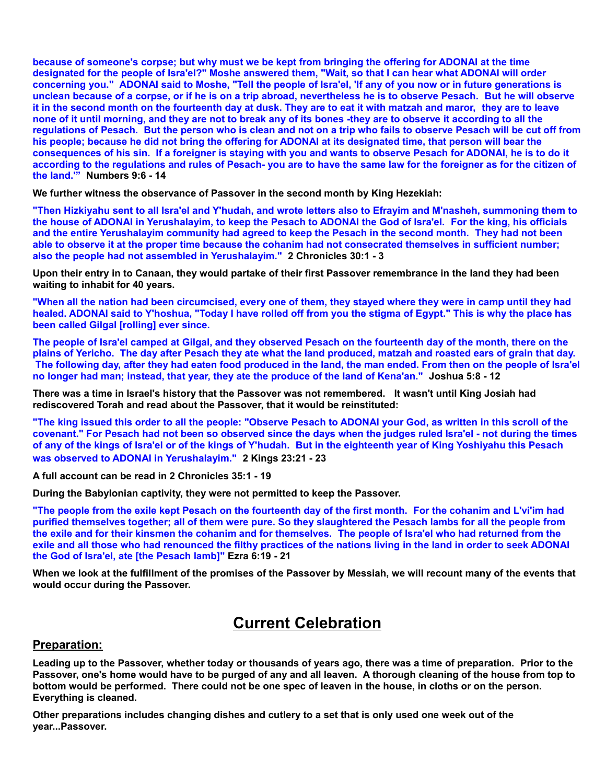**because of someone's corpse; but why must we be kept from bringing the offering for ADONAI at the time designated for the people of Isra'el?" Moshe answered them, "Wait, so that I can hear what ADONAI will order concerning you." ADONAI said to Moshe, "Tell the people of Isra'el, 'If any of you now or in future generations is unclean because of a corpse, or if he is on a trip abroad, nevertheless he is to observe Pesach. But he will observe it in the second month on the fourteenth day at dusk. They are to eat it with matzah and maror, they are to leave none of it until morning, and they are not to break any of its bones -they are to observe it according to all the regulations of Pesach. But the person who is clean and not on a trip who fails to observe Pesach will be cut off from his people; because he did not bring the offering for ADONAI at its designated time, that person will bear the consequences of his sin. If a foreigner is staying with you and wants to observe Pesach for ADONAI, he is to do it according to the regulations and rules of Pesach- you are to have the same law for the foreigner as for the citizen of the land.'" Numbers 9:6 - 14**

**We further witness the observance of Passover in the second month by King Hezekiah:**

**"Then Hizkiyahu sent to all Isra'el and Y'hudah, and wrote letters also to Efrayim and M'nasheh, summoning them to the house of ADONAI in Yerushalayim, to keep the Pesach to ADONAI the God of Isra'el. For the king, his officials and the entire Yerushalayim community had agreed to keep the Pesach in the second month. They had not been able to observe it at the proper time because the cohanim had not consecrated themselves in sufficient number; also the people had not assembled in Yerushalayim." 2 Chronicles 30:1 - 3**

**Upon their entry in to Canaan, they would partake of their first Passover remembrance in the land they had been waiting to inhabit for 40 years.**

**"When all the nation had been circumcised, every one of them, they stayed where they were in camp until they had healed. ADONAI said to Y'hoshua, "Today I have rolled off from you the stigma of Egypt." This is why the place has been called Gilgal [rolling] ever since.**

**The people of Isra'el camped at Gilgal, and they observed Pesach on the fourteenth day of the month, there on the plains of Yericho. The day after Pesach they ate what the land produced, matzah and roasted ears of grain that day. The following day, after they had eaten food produced in the land, the man ended. From then on the people of Isra'el no longer had man; instead, that year, they ate the produce of the land of Kena'an." Joshua 5:8 - 12**

**There was a time in Israel's history that the Passover was not remembered. It wasn't until King Josiah had rediscovered Torah and read about the Passover, that it would be reinstituted:**

**"The king issued this order to all the people: "Observe Pesach to ADONAI your God, as written in this scroll of the covenant." For Pesach had not been so observed since the days when the judges ruled Isra'el - not during the times of any of the kings of Isra'el or of the kings of Y'hudah. But in the eighteenth year of King Yoshiyahu this Pesach was observed to ADONAI in Yerushalayim." 2 Kings 23:21 - 23**

**A full account can be read in 2 Chronicles 35:1 - 19**

**During the Babylonian captivity, they were not permitted to keep the Passover.**

**"The people from the exile kept Pesach on the fourteenth day of the first month. For the cohanim and L'vi'im had purified themselves together; all of them were pure. So they slaughtered the Pesach lambs for all the people from the exile and for their kinsmen the cohanim and for themselves. The people of Isra'el who had returned from the exile and all those who had renounced the filthy practices of the nations living in the land in order to seek ADONAI the God of Isra'el, ate [the Pesach lamb]" Ezra 6:19 - 21**

**When we look at the fulfillment of the promises of the Passover by Messiah, we will recount many of the events that would occur during the Passover.**

# **Current Celebration**

### **Preparation:**

**Leading up to the Passover, whether today or thousands of years ago, there was a time of preparation. Prior to the Passover, one's home would have to be purged of any and all leaven. A thorough cleaning of the house from top to bottom would be performed. There could not be one spec of leaven in the house, in cloths or on the person. Everything is cleaned.**

**Other preparations includes changing dishes and cutlery to a set that is only used one week out of the year...Passover.**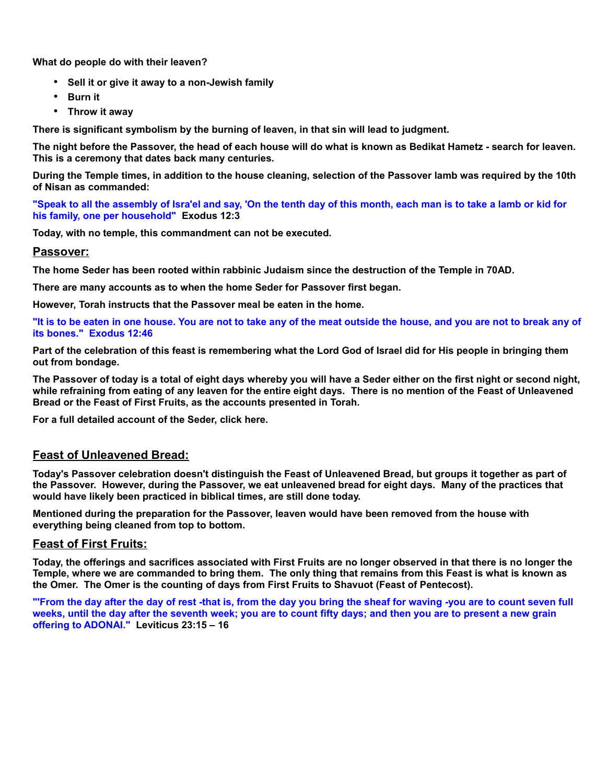**What do people do with their leaven?**

- **Sell it or give it away to a non-Jewish family**
- **Burn it**
- **Throw it away**

**There is significant symbolism by the burning of leaven, in that sin will lead to judgment.**

**The night before the Passover, the head of each house will do what is known as Bedikat Hametz - search for leaven. This is a ceremony that dates back many centuries.**

**During the Temple times, in addition to the house cleaning, selection of the Passover lamb was required by the 10th of Nisan as commanded:**

**"Speak to all the assembly of Isra'el and say, 'On the tenth day of this month, each man is to take a lamb or kid for his family, one per household" Exodus 12:3**

**Today, with no temple, this commandment can not be executed.**

### **Passover:**

**The home Seder has been rooted within rabbinic Judaism since the destruction of the Temple in 70AD.**

**There are many accounts as to when the home Seder for Passover first began.**

**However, Torah instructs that the Passover meal be eaten in the home.**

**"It is to be eaten in one house. You are not to take any of the meat outside the house, and you are not to break any of its bones." Exodus 12:46**

**Part of the celebration of this feast is remembering what the Lord God of Israel did for His people in bringing them out from bondage.**

**The Passover of today is a total of eight days whereby you will have a Seder either on the first night or second night, while refraining from eating of any leaven for the entire eight days. There is no mention of the Feast of Unleavened Bread or the Feast of First Fruits, as the accounts presented in Torah.**

**For a full detailed account of the Seder, click here.**

### **Feast of Unleavened Bread:**

**Today's Passover celebration doesn't distinguish the Feast of Unleavened Bread, but groups it together as part of the Passover. However, during the Passover, we eat unleavened bread for eight days. Many of the practices that would have likely been practiced in biblical times, are still done today.**

**Mentioned during the preparation for the Passover, leaven would have been removed from the house with everything being cleaned from top to bottom.**

### **Feast of First Fruits:**

**Today, the offerings and sacrifices associated with First Fruits are no longer observed in that there is no longer the Temple, where we are commanded to bring them. The only thing that remains from this Feast is what is known as the Omer. The Omer is the counting of days from First Fruits to Shavuot (Feast of Pentecost).**

**"'From the day after the day of rest -that is, from the day you bring the sheaf for waving -you are to count seven full weeks, until the day after the seventh week; you are to count fifty days; and then you are to present a new grain offering to ADONAI." Leviticus 23:15 – 16**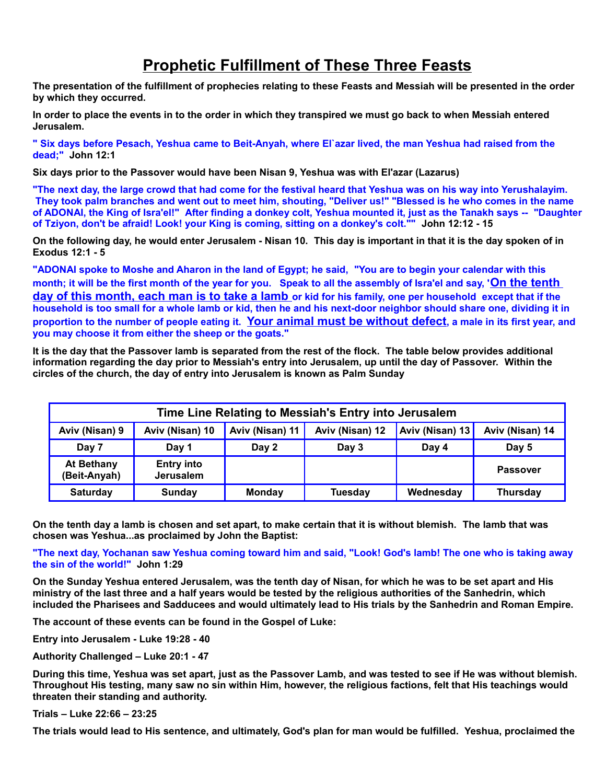# **Prophetic Fulfillment of These Three Feasts**

**The presentation of the fulfillment of prophecies relating to these Feasts and Messiah will be presented in the order by which they occurred.**

**In order to place the events in to the order in which they transpired we must go back to when Messiah entered Jerusalem.**

**" Six days before Pesach, Yeshua came to Beit-Anyah, where El`azar lived, the man Yeshua had raised from the dead;" John 12:1**

**Six days prior to the Passover would have been Nisan 9, Yeshua was with El'azar (Lazarus)**

**"The next day, the large crowd that had come for the festival heard that Yeshua was on his way into Yerushalayim. They took palm branches and went out to meet him, shouting, "Deliver us!" "Blessed is he who comes in the name of ADONAI, the King of Isra'el!" After finding a donkey colt, Yeshua mounted it, just as the Tanakh says -- "Daughter of Tziyon, don't be afraid! Look! your King is coming, sitting on a donkey's colt."" John 12:12 - 15**

**On the following day, he would enter Jerusalem - Nisan 10. This day is important in that it is the day spoken of in Exodus 12:1 - 5**

**"ADONAI spoke to Moshe and Aharon in the land of Egypt; he said, "You are to begin your calendar with this month; it will be the first month of the year for you. Speak to all the assembly of Isra'el and say, 'On the tenth day of this month, each man is to take a lamb or kid for his family, one per household except that if the household is too small for a whole lamb or kid, then he and his next-door neighbor should share one, dividing it in proportion to the number of people eating it. Your animal must be without defect, a male in its first year, and you may choose it from either the sheep or the goats."**

**It is the day that the Passover lamb is separated from the rest of the flock. The table below provides additional information regarding the day prior to Messiah's entry into Jerusalem, up until the day of Passover. Within the circles of the church, the day of entry into Jerusalem is known as Palm Sunday**

| Time Line Relating to Messiah's Entry into Jerusalem |                                |                 |                 |                 |                 |  |
|------------------------------------------------------|--------------------------------|-----------------|-----------------|-----------------|-----------------|--|
| Aviv (Nisan) 9                                       | Aviv (Nisan) 10                | Aviv (Nisan) 11 | Aviv (Nisan) 12 | Aviv (Nisan) 13 | Aviv (Nisan) 14 |  |
| Day 7                                                | Day 1                          | Day 2           | Day $3$         | Day 4           | Day 5           |  |
| <b>At Bethany</b><br>(Beit-Anyah)                    | <b>Entry into</b><br>Jerusalem |                 |                 |                 | <b>Passover</b> |  |
| <b>Saturday</b>                                      | Sunday                         | <b>Monday</b>   | <b>Tuesday</b>  | Wednesday       | <b>Thursday</b> |  |

**On the tenth day a lamb is chosen and set apart, to make certain that it is without blemish. The lamb that was chosen was Yeshua...as proclaimed by John the Baptist:**

**"The next day, Yochanan saw Yeshua coming toward him and said, "Look! God's lamb! The one who is taking away the sin of the world!" John 1:29**

**On the Sunday Yeshua entered Jerusalem, was the tenth day of Nisan, for which he was to be set apart and His ministry of the last three and a half years would be tested by the religious authorities of the Sanhedrin, which included the Pharisees and Sadducees and would ultimately lead to His trials by the Sanhedrin and Roman Empire.**

**The account of these events can be found in the Gospel of Luke:**

**Entry into Jerusalem - Luke 19:28 - 40**

**Authority Challenged – Luke 20:1 - 47**

**During this time, Yeshua was set apart, just as the Passover Lamb, and was tested to see if He was without blemish. Throughout His testing, many saw no sin within Him, however, the religious factions, felt that His teachings would threaten their standing and authority.**

**Trials – Luke 22:66 – 23:25**

**The trials would lead to His sentence, and ultimately, God's plan for man would be fulfilled. Yeshua, proclaimed the**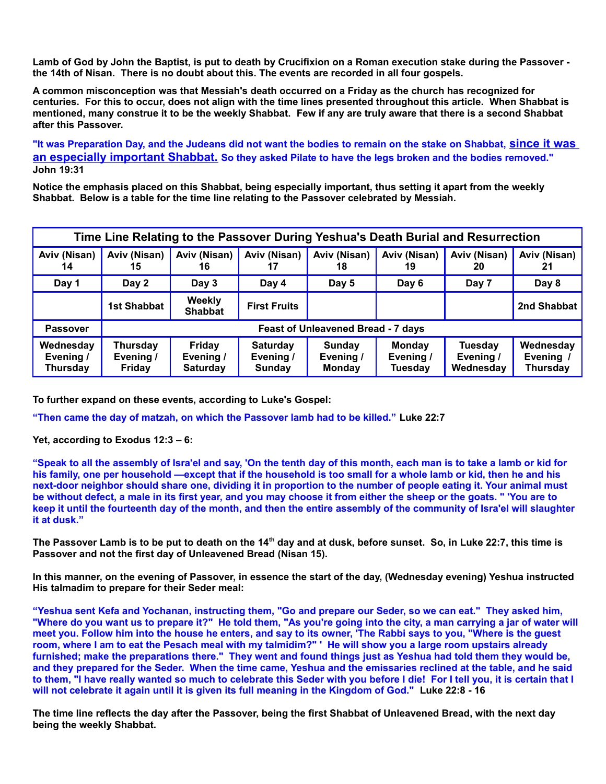**Lamb of God by John the Baptist, is put to death by Crucifixion on a Roman execution stake during the Passover the 14th of Nisan. There is no doubt about this. The events are recorded in all four gospels.**

**A common misconception was that Messiah's death occurred on a Friday as the church has recognized for centuries. For this to occur, does not align with the time lines presented throughout this article. When Shabbat is mentioned, many construe it to be the weekly Shabbat. Few if any are truly aware that there is a second Shabbat after this Passover.**

**"It was Preparation Day, and the Judeans did not want the bodies to remain on the stake on Shabbat, since it was an especially important Shabbat. So they asked Pilate to have the legs broken and the bodies removed." John 19:31**

**Notice the emphasis placed on this Shabbat, being especially important, thus setting it apart from the weekly Shabbat. Below is a table for the time line relating to the Passover celebrated by Messiah.**

| Time Line Relating to the Passover During Yeshua's Death Burial and Resurrection |                                           |                                        |                                 |                                      |                                |                                          |                                                |
|----------------------------------------------------------------------------------|-------------------------------------------|----------------------------------------|---------------------------------|--------------------------------------|--------------------------------|------------------------------------------|------------------------------------------------|
| Aviv (Nisan)<br>14                                                               | Aviv (Nisan)<br>15                        | Aviv (Nisan)<br>16                     | Aviv (Nisan)<br>17              | Aviv (Nisan)<br>18                   | Aviv (Nisan)<br>19             | Aviv (Nisan)<br>20                       | Aviv (Nisan)<br>21                             |
| Day 1                                                                            | Day 2                                     | Day $3$                                | Day 4                           | Day 5                                | Day 6                          | Day 7                                    | Day 8                                          |
|                                                                                  | <b>1st Shabbat</b>                        | <b>Weekly</b><br><b>Shabbat</b>        | <b>First Fruits</b>             |                                      |                                |                                          | 2nd Shabbat                                    |
| <b>Passover</b>                                                                  | <b>Feast of Unleavened Bread - 7 days</b> |                                        |                                 |                                      |                                |                                          |                                                |
| Wednesday<br>Evening /<br>Thursday                                               | Thursday<br>Evening /<br><b>Friday</b>    | Friday<br>Evening /<br><b>Saturday</b> | Saturday<br>Evening /<br>Sunday | Sunday<br>Evening /<br><b>Monday</b> | Monday<br>Evening /<br>Tuesday | <b>Tuesday</b><br>Evening /<br>Wednesday | Wednesday<br><b>Evening</b><br><b>Thursday</b> |

**To further expand on these events, according to Luke's Gospel:**

**"Then came the day of matzah, on which the Passover lamb had to be killed." Luke 22:7**

**Yet, according to Exodus 12:3 – 6:**

**"Speak to all the assembly of Isra'el and say, 'On the tenth day of this month, each man is to take a lamb or kid for his family, one per household —except that if the household is too small for a whole lamb or kid, then he and his next-door neighbor should share one, dividing it in proportion to the number of people eating it. Your animal must be without defect, a male in its first year, and you may choose it from either the sheep or the goats. " 'You are to keep it until the fourteenth day of the month, and then the entire assembly of the community of Isra'el will slaughter it at dusk."**

**The Passover Lamb is to be put to death on the 14th day and at dusk, before sunset. So, in Luke 22:7, this time is Passover and not the first day of Unleavened Bread (Nisan 15).** 

**In this manner, on the evening of Passover, in essence the start of the day, (Wednesday evening) Yeshua instructed His talmadim to prepare for their Seder meal:**

**"Yeshua sent Kefa and Yochanan, instructing them, "Go and prepare our Seder, so we can eat." They asked him, "Where do you want us to prepare it?" He told them, "As you're going into the city, a man carrying a jar of water will meet you. Follow him into the house he enters, and say to its owner, 'The Rabbi says to you, "Where is the guest room, where I am to eat the Pesach meal with my talmidim?" ' He will show you a large room upstairs already furnished; make the preparations there." They went and found things just as Yeshua had told them they would be, and they prepared for the Seder. When the time came, Yeshua and the emissaries reclined at the table, and he said to them, "I have really wanted so much to celebrate this Seder with you before I die! For I tell you, it is certain that I will not celebrate it again until it is given its full meaning in the Kingdom of God." Luke 22:8 - 16**

**The time line reflects the day after the Passover, being the first Shabbat of Unleavened Bread, with the next day being the weekly Shabbat.**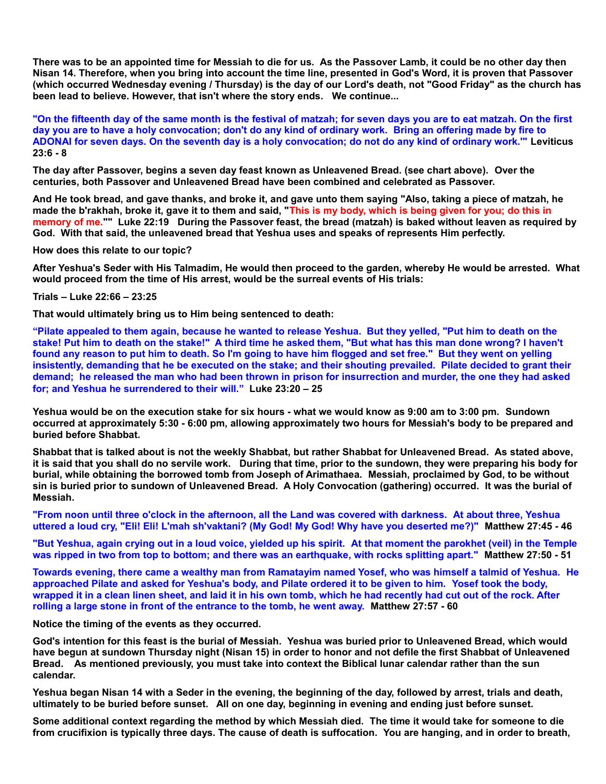**There was to be an appointed time for Messiah to die for us. As the Passover Lamb, it could be no other day then Nisan 14. Therefore, when you bring into account the time line, presented in God's Word, it is proven that Passover (which occurred Wednesday evening / Thursday) is the day of our Lord's death, not "Good Friday" as the church has been lead to believe. However, that isn't where the story ends. We continue...**

**"On the fifteenth day of the same month is the festival of matzah; for seven days you are to eat matzah. On the first day you are to have a holy convocation; don't do any kind of ordinary work. Bring an offering made by fire to ADONAI for seven days. On the seventh day is a holy convocation; do not do any kind of ordinary work.'" Leviticus 23:6 - 8**

**The day after Passover, begins a seven day feast known as Unleavened Bread. (see chart above). Over the centuries, both Passover and Unleavened Bread have been combined and celebrated as Passover.**

**And He took bread, and gave thanks, and broke it, and gave unto them saying "Also, taking a piece of matzah, he made the b'rakhah, broke it, gave it to them and said, "This is my body, which is being given for you; do this in memory of me."" Luke 22:19 During the Passover feast, the bread (matzah) is baked without leaven as required by God. With that said, the unleavened bread that Yeshua uses and speaks of represents Him perfectly.**

**How does this relate to our topic?**

**After Yeshua's Seder with His Talmadim, He would then proceed to the garden, whereby He would be arrested. What would proceed from the time of His arrest, would be the surreal events of His trials:**

#### **Trials – Luke 22:66 – 23:25**

**That would ultimately bring us to Him being sentenced to death:**

**"Pilate appealed to them again, because he wanted to release Yeshua. But they yelled, "Put him to death on the stake! Put him to death on the stake!" A third time he asked them, "But what has this man done wrong? I haven't found any reason to put him to death. So I'm going to have him flogged and set free." But they went on yelling insistently, demanding that he be executed on the stake; and their shouting prevailed. Pilate decided to grant their demand; he released the man who had been thrown in prison for insurrection and murder, the one they had asked for; and Yeshua he surrendered to their will." Luke 23:20 – 25**

**Yeshua would be on the execution stake for six hours - what we would know as 9:00 am to 3:00 pm. Sundown occurred at approximately 5:30 - 6:00 pm, allowing approximately two hours for Messiah's body to be prepared and buried before Shabbat.**

**Shabbat that is talked about is not the weekly Shabbat, but rather Shabbat for Unleavened Bread. As stated above, it is said that you shall do no servile work. During that time, prior to the sundown, they were preparing his body for burial, while obtaining the borrowed tomb from Joseph of Arimathaea. Messiah, proclaimed by God, to be without sin is buried prior to sundown of Unleavened Bread. A Holy Convocation (gathering) occurred. It was the burial of Messiah.**

**"From noon until three o'clock in the afternoon, all the Land was covered with darkness. At about three, Yeshua uttered a loud cry, "Eli! Eli! L'mah sh'vaktani? (My God! My God! Why have you deserted me?)" Matthew 27:45 - 46**

**"But Yeshua, again crying out in a loud voice, yielded up his spirit. At that moment the parokhet (veil) in the Temple was ripped in two from top to bottom; and there was an earthquake, with rocks splitting apart." Matthew 27:50 - 51**

**Towards evening, there came a wealthy man from Ramatayim named Yosef, who was himself a talmid of Yeshua. He approached Pilate and asked for Yeshua's body, and Pilate ordered it to be given to him. Yosef took the body, wrapped it in a clean linen sheet, and laid it in his own tomb, which he had recently had cut out of the rock. After rolling a large stone in front of the entrance to the tomb, he went away. Matthew 27:57 - 60**

**Notice the timing of the events as they occurred.**

**God's intention for this feast is the burial of Messiah. Yeshua was buried prior to Unleavened Bread, which would have begun at sundown Thursday night (Nisan 15) in order to honor and not defile the first Shabbat of Unleavened Bread. As mentioned previously, you must take into context the Biblical lunar calendar rather than the sun calendar.**

**Yeshua began Nisan 14 with a Seder in the evening, the beginning of the day, followed by arrest, trials and death, ultimately to be buried before sunset. All on one day, beginning in evening and ending just before sunset.**

**Some additional context regarding the method by which Messiah died. The time it would take for someone to die from crucifixion is typically three days. The cause of death is suffocation. You are hanging, and in order to breath,**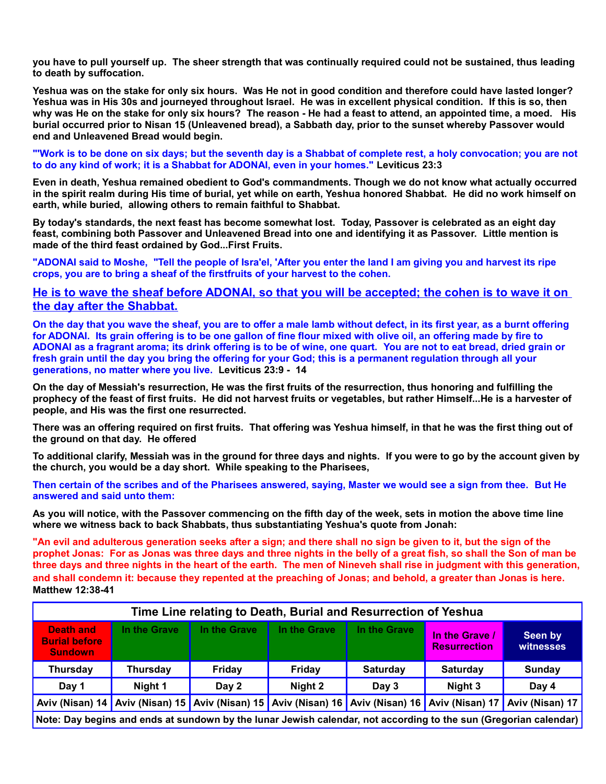**you have to pull yourself up. The sheer strength that was continually required could not be sustained, thus leading to death by suffocation.**

**Yeshua was on the stake for only six hours. Was He not in good condition and therefore could have lasted longer? Yeshua was in His 30s and journeyed throughout Israel. He was in excellent physical condition. If this is so, then why was He on the stake for only six hours? The reason - He had a feast to attend, an appointed time, a moed. His burial occurred prior to Nisan 15 (Unleavened bread), a Sabbath day, prior to the sunset whereby Passover would end and Unleavened Bread would begin.**

**"'Work is to be done on six days; but the seventh day is a Shabbat of complete rest, a holy convocation; you are not to do any kind of work; it is a Shabbat for ADONAI, even in your homes." Leviticus 23:3**

**Even in death, Yeshua remained obedient to God's commandments. Though we do not know what actually occurred in the spirit realm during His time of burial, yet while on earth, Yeshua honored Shabbat. He did no work himself on earth, while buried, allowing others to remain faithful to Shabbat.**

**By today's standards, the next feast has become somewhat lost. Today, Passover is celebrated as an eight day feast, combining both Passover and Unleavened Bread into one and identifying it as Passover. Little mention is made of the third feast ordained by God...First Fruits.**

**"ADONAI said to Moshe, "Tell the people of Isra'el, 'After you enter the land I am giving you and harvest its ripe crops, you are to bring a sheaf of the firstfruits of your harvest to the cohen.**

**He is to wave the sheaf before ADONAI, so that you will be accepted; the cohen is to wave it on the day after the Shabbat.**

**On the day that you wave the sheaf, you are to offer a male lamb without defect, in its first year, as a burnt offering for ADONAI. Its grain offering is to be one gallon of fine flour mixed with olive oil, an offering made by fire to ADONAI as a fragrant aroma; its drink offering is to be of wine, one quart. You are not to eat bread, dried grain or fresh grain until the day you bring the offering for your God; this is a permanent regulation through all your generations, no matter where you live. Leviticus 23:9 - 14**

**On the day of Messiah's resurrection, He was the first fruits of the resurrection, thus honoring and fulfilling the prophecy of the feast of first fruits. He did not harvest fruits or vegetables, but rather Himself...He is a harvester of people, and His was the first one resurrected.**

**There was an offering required on first fruits. That offering was Yeshua himself, in that he was the first thing out of the ground on that day. He offered**

**To additional clarify, Messiah was in the ground for three days and nights. If you were to go by the account given by the church, you would be a day short. While speaking to the Pharisees,**

**Then certain of the scribes and of the Pharisees answered, saying, Master we would see a sign from thee. But He answered and said unto them:**

**As you will notice, with the Passover commencing on the fifth day of the week, sets in motion the above time line where we witness back to back Shabbats, thus substantiating Yeshua's quote from Jonah:**

**"An evil and adulterous generation seeks after a sign; and there shall no sign be given to it, but the sign of the prophet Jonas: For as Jonas was three days and three nights in the belly of a great fish, so shall the Son of man be three days and three nights in the heart of the earth. The men of Nineveh shall rise in judgment with this generation, and shall condemn it: because they repented at the preaching of Jonas; and behold, a greater than Jonas is here. Matthew 12:38-41**

| Time Line relating to Death, Burial and Resurrection of Yeshua                                                   |                 |                                                 |              |                 |                                       |                      |  |
|------------------------------------------------------------------------------------------------------------------|-----------------|-------------------------------------------------|--------------|-----------------|---------------------------------------|----------------------|--|
| <b>Death and</b><br><b>Burial before</b><br><b>Sundown</b>                                                       | In the Grave    | In the Grave                                    | In the Grave | In the Grave    | In the Grave /<br><b>Resurrection</b> | Seen by<br>witnesses |  |
| <b>Thursday</b>                                                                                                  | <b>Thursday</b> | Friday                                          | Friday       | <b>Saturday</b> | Saturday                              | Sunday               |  |
| Day 1                                                                                                            | Night 1         | Day 2                                           | Night 2      | Day 3           | Night 3                               | Day 4                |  |
| Aviv (Nisan) 14                                                                                                  |                 | Aviv (Nisan) 15 Aviv (Nisan) 15 Aviv (Nisan) 16 |              |                 | Aviv (Nisan) 16   Aviv (Nisan) 17     | Aviv (Nisan) 17      |  |
| Note: Day begins and ends at sundown by the lunar Jewish calendar, not according to the sun (Gregorian calendar) |                 |                                                 |              |                 |                                       |                      |  |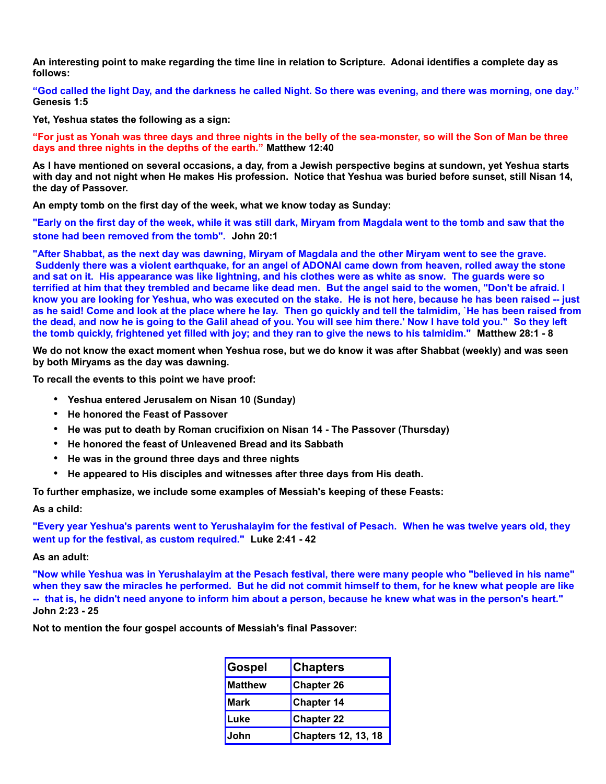**An interesting point to make regarding the time line in relation to Scripture. Adonai identifies a complete day as follows:**

**"God called the light Day, and the darkness he called Night. So there was evening, and there was morning, one day." Genesis 1:5**

**Yet, Yeshua states the following as a sign:**

**"For just as Yonah was three days and three nights in the belly of the sea-monster, so will the Son of Man be three days and three nights in the depths of the earth." Matthew 12:40**

**As I have mentioned on several occasions, a day, from a Jewish perspective begins at sundown, yet Yeshua starts with day and not night when He makes His profession. Notice that Yeshua was buried before sunset, still Nisan 14, the day of Passover.** 

**An empty tomb on the first day of the week, what we know today as Sunday:**

**"Early on the first day of the week, while it was still dark, Miryam from Magdala went to the tomb and saw that the stone had been removed from the tomb". John 20:1**

**"After Shabbat, as the next day was dawning, Miryam of Magdala and the other Miryam went to see the grave. Suddenly there was a violent earthquake, for an angel of ADONAI came down from heaven, rolled away the stone and sat on it. His appearance was like lightning, and his clothes were as white as snow. The guards were so terrified at him that they trembled and became like dead men. But the angel said to the women, "Don't be afraid. I know you are looking for Yeshua, who was executed on the stake. He is not here, because he has been raised -- just as he said! Come and look at the place where he lay. Then go quickly and tell the talmidim, `He has been raised from the dead, and now he is going to the Galil ahead of you. You will see him there.' Now I have told you." So they left the tomb quickly, frightened yet filled with joy; and they ran to give the news to his talmidim." Matthew 28:1 - 8**

**We do not know the exact moment when Yeshua rose, but we do know it was after Shabbat (weekly) and was seen by both Miryams as the day was dawning.** 

**To recall the events to this point we have proof:**

- **Yeshua entered Jerusalem on Nisan 10 (Sunday)**
- **He honored the Feast of Passover**
- **He was put to death by Roman crucifixion on Nisan 14 The Passover (Thursday)**
- **He honored the feast of Unleavened Bread and its Sabbath**
- **He was in the ground three days and three nights**
- **He appeared to His disciples and witnesses after three days from His death.**

**To further emphasize, we include some examples of Messiah's keeping of these Feasts:**

**As a child:**

**"Every year Yeshua's parents went to Yerushalayim for the festival of Pesach. When he was twelve years old, they went up for the festival, as custom required." Luke 2:41 - 42**

#### **As an adult:**

**"Now while Yeshua was in Yerushalayim at the Pesach festival, there were many people who "believed in his name" when they saw the miracles he performed. But he did not commit himself to them, for he knew what people are like -- that is, he didn't need anyone to inform him about a person, because he knew what was in the person's heart." John 2:23 - 25**

**Not to mention the four gospel accounts of Messiah's final Passover:**

| Gospel      | <b>Chapters</b>            |
|-------------|----------------------------|
| Matthew     | Chapter 26                 |
| <b>Mark</b> | Chapter 14                 |
| Luke        | Chapter 22                 |
| John        | <b>Chapters 12, 13, 18</b> |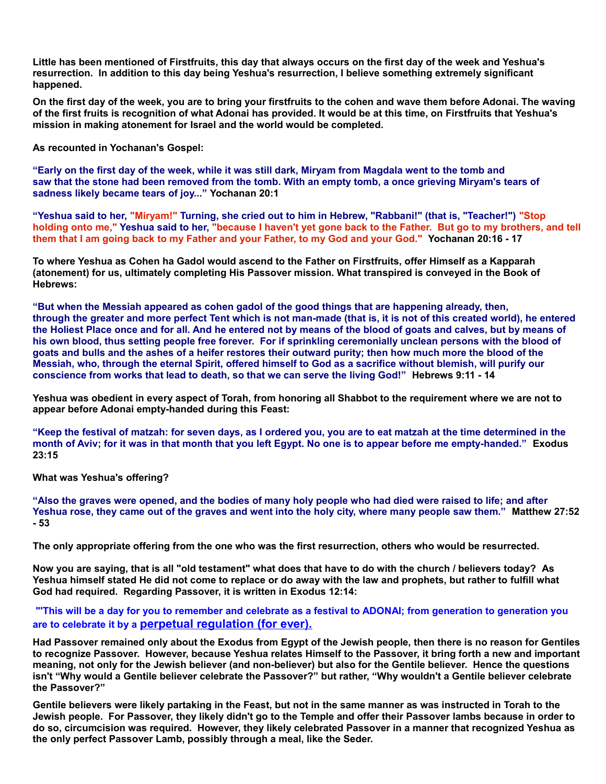**Little has been mentioned of Firstfruits, this day that always occurs on the first day of the week and Yeshua's resurrection. In addition to this day being Yeshua's resurrection, I believe something extremely significant happened.** 

**On the first day of the week, you are to bring your firstfruits to the cohen and wave them before Adonai. The waving of the first fruits is recognition of what Adonai has provided. It would be at this time, on Firstfruits that Yeshua's mission in making atonement for Israel and the world would be completed.**

**As recounted in Yochanan's Gospel:**

**"Early on the first day of the week, while it was still dark, Miryam from Magdala went to the tomb and saw that the stone had been removed from the tomb. With an empty tomb, a once grieving Miryam's tears of sadness likely became tears of joy..." Yochanan 20:1**

**"Yeshua said to her, "Miryam!" Turning, she cried out to him in Hebrew, "Rabbani!" (that is, "Teacher!") "Stop holding onto me," Yeshua said to her, "because I haven't yet gone back to the Father. But go to my brothers, and tell them that I am going back to my Father and your Father, to my God and your God." Yochanan 20:16 - 17**

**To where Yeshua as Cohen ha Gadol would ascend to the Father on Firstfruits, offer Himself as a Kapparah (atonement) for us, ultimately completing His Passover mission. What transpired is conveyed in the Book of Hebrews:**

**"But when the Messiah appeared as cohen gadol of the good things that are happening already, then, through the greater and more perfect Tent which is not man-made (that is, it is not of this created world), he entered the Holiest Place once and for all. And he entered not by means of the blood of goats and calves, but by means of his own blood, thus setting people free forever. For if sprinkling ceremonially unclean persons with the blood of goats and bulls and the ashes of a heifer restores their outward purity; then how much more the blood of the Messiah, who, through the eternal Spirit, offered himself to God as a sacrifice without blemish, will purify our conscience from works that lead to death, so that we can serve the living God!" Hebrews 9:11 - 14**

**Yeshua was obedient in every aspect of Torah, from honoring all Shabbot to the requirement where we are not to appear before Adonai empty-handed during this Feast:**

**"Keep the festival of matzah: for seven days, as I ordered you, you are to eat matzah at the time determined in the month of Aviv; for it was in that month that you left Egypt. No one is to appear before me empty-handed." Exodus 23:15**

**What was Yeshua's offering?**

**"Also the graves were opened, and the bodies of many holy people who had died were raised to life; and after Yeshua rose, they came out of the graves and went into the holy city, where many people saw them." Matthew 27:52 - 53** 

**The only appropriate offering from the one who was the first resurrection, others who would be resurrected.**

**Now you are saying, that is all "old testament" what does that have to do with the church / believers today? As Yeshua himself stated He did not come to replace or do away with the law and prophets, but rather to fulfill what God had required. Regarding Passover, it is written in Exodus 12:14:**

**"'This will be a day for you to remember and celebrate as a festival to ADONAI; from generation to generation you are to celebrate it by a perpetual regulation (for ever).**

**Had Passover remained only about the Exodus from Egypt of the Jewish people, then there is no reason for Gentiles to recognize Passover. However, because Yeshua relates Himself to the Passover, it bring forth a new and important meaning, not only for the Jewish believer (and non-believer) but also for the Gentile believer. Hence the questions isn't "Why would a Gentile believer celebrate the Passover?" but rather, "Why wouldn't a Gentile believer celebrate the Passover?"**

**Gentile believers were likely partaking in the Feast, but not in the same manner as was instructed in Torah to the Jewish people. For Passover, they likely didn't go to the Temple and offer their Passover lambs because in order to do so, circumcision was required. However, they likely celebrated Passover in a manner that recognized Yeshua as the only perfect Passover Lamb, possibly through a meal, like the Seder.**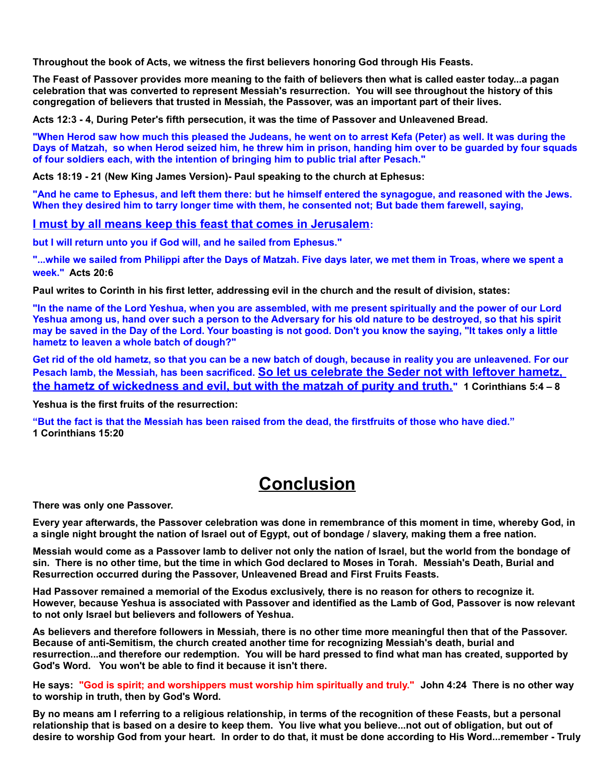**Throughout the book of Acts, we witness the first believers honoring God through His Feasts.**

**The Feast of Passover provides more meaning to the faith of believers then what is called easter today...a pagan celebration that was converted to represent Messiah's resurrection. You will see throughout the history of this congregation of believers that trusted in Messiah, the Passover, was an important part of their lives.**

**Acts 12:3 - 4, During Peter's fifth persecution, it was the time of Passover and Unleavened Bread.**

**"When Herod saw how much this pleased the Judeans, he went on to arrest Kefa (Peter) as well. It was during the Days of Matzah, so when Herod seized him, he threw him in prison, handing him over to be guarded by four squads of four soldiers each, with the intention of bringing him to public trial after Pesach."**

**Acts 18:19 - 21 (New King James Version)- Paul speaking to the church at Ephesus:**

**"And he came to Ephesus, and left them there: but he himself entered the synagogue, and reasoned with the Jews. When they desired him to tarry longer time with them, he consented not; But bade them farewell, saying,**

#### **I must by all means keep this feast that comes in Jerusalem:**

**but I will return unto you if God will, and he sailed from Ephesus."**

**"...while we sailed from Philippi after the Days of Matzah. Five days later, we met them in Troas, where we spent a week." Acts 20:6**

**Paul writes to Corinth in his first letter, addressing evil in the church and the result of division, states:**

**"In the name of the Lord Yeshua, when you are assembled, with me present spiritually and the power of our Lord Yeshua among us, hand over such a person to the Adversary for his old nature to be destroyed, so that his spirit may be saved in the Day of the Lord. Your boasting is not good. Don't you know the saying, "It takes only a little hametz to leaven a whole batch of dough?"**

**Get rid of the old hametz, so that you can be a new batch of dough, because in reality you are unleavened. For our Pesach lamb, the Messiah, has been sacrificed. So let us celebrate the Seder not with leftover hametz, the hametz of wickedness and evil, but with the matzah of purity and truth." 1 Corinthians 5:4 – 8**

**Yeshua is the first fruits of the resurrection:**

**"But the fact is that the Messiah has been raised from the dead, the firstfruits of those who have died." 1 Corinthians 15:20**

# **Conclusion**

**There was only one Passover.**

**Every year afterwards, the Passover celebration was done in remembrance of this moment in time, whereby God, in a single night brought the nation of Israel out of Egypt, out of bondage / slavery, making them a free nation.**

**Messiah would come as a Passover lamb to deliver not only the nation of Israel, but the world from the bondage of sin. There is no other time, but the time in which God declared to Moses in Torah. Messiah's Death, Burial and Resurrection occurred during the Passover, Unleavened Bread and First Fruits Feasts.**

**Had Passover remained a memorial of the Exodus exclusively, there is no reason for others to recognize it. However, because Yeshua is associated with Passover and identified as the Lamb of God, Passover is now relevant to not only Israel but believers and followers of Yeshua.** 

**As believers and therefore followers in Messiah, there is no other time more meaningful then that of the Passover. Because of anti-Semitism, the church created another time for recognizing Messiah's death, burial and resurrection...and therefore our redemption. You will be hard pressed to find what man has created, supported by God's Word. You won't be able to find it because it isn't there.**

**He says: "God is spirit; and worshippers must worship him spiritually and truly." John 4:24 There is no other way to worship in truth, then by God's Word.**

**By no means am I referring to a religious relationship, in terms of the recognition of these Feasts, but a personal relationship that is based on a desire to keep them. You live what you believe...not out of obligation, but out of desire to worship God from your heart. In order to do that, it must be done according to His Word...remember - Truly**